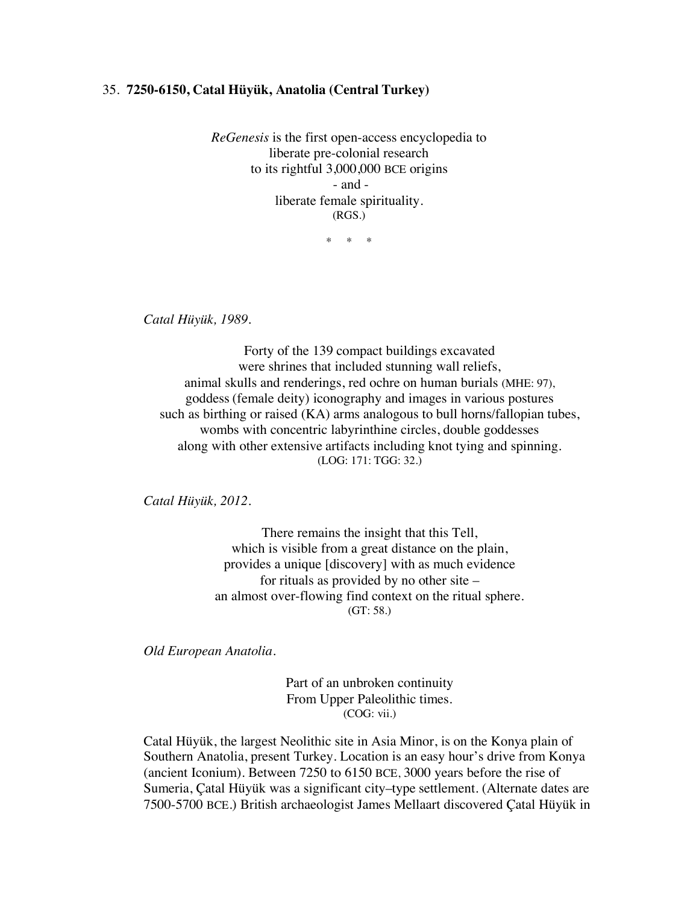## 35. **7250-6150, Catal Hüyük, Anatolia (Central Turkey)**

*ReGenesis* is the first open-access encyclopedia to liberate pre-colonial research to its rightful 3,000,000 BCE origins - and liberate female spirituality. (RGS.)

\* \* \*

*Catal Hüyük, 1989.*

Forty of the 139 compact buildings excavated were shrines that included stunning wall reliefs, animal skulls and renderings, red ochre on human burials (MHE: 97), goddess (female deity) iconography and images in various postures such as birthing or raised (KA) arms analogous to bull horns/fallopian tubes, wombs with concentric labyrinthine circles, double goddesses along with other extensive artifacts including knot tying and spinning. (LOG: 171: TGG: 32.)

*Catal Hüyük, 2012.*

There remains the insight that this Tell, which is visible from a great distance on the plain, provides a unique [discovery] with as much evidence for rituals as provided by no other site – an almost over-flowing find context on the ritual sphere. (GT: 58.)

*Old European Anatolia.* 

Part of an unbroken continuity From Upper Paleolithic times. (COG: vii.)

Catal Hüyük, the largest Neolithic site in Asia Minor, is on the Konya plain of Southern Anatolia, present Turkey. Location is an easy hour's drive from Konya (ancient Iconium). Between 7250 to 6150 BCE, 3000 years before the rise of Sumeria, Çatal Hüyük was a significant city–type settlement. (Alternate dates are 7500-5700 BCE.) British archaeologist James Mellaart discovered Çatal Hüyük in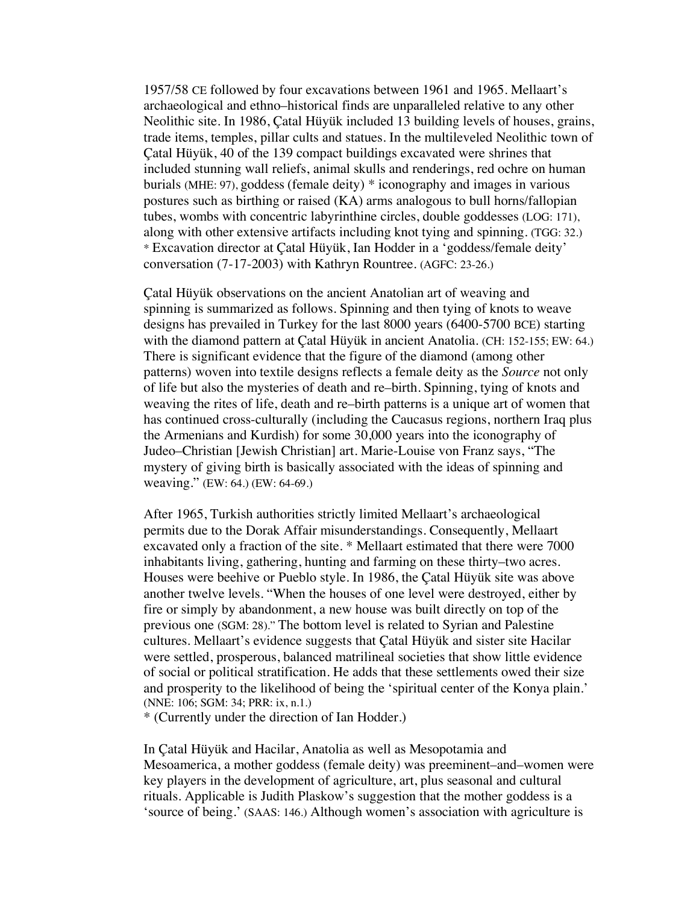1957/58 CE followed by four excavations between 1961 and 1965. Mellaart's archaeological and ethno–historical finds are unparalleled relative to any other Neolithic site. In 1986, Çatal Hüyük included 13 building levels of houses, grains, trade items, temples, pillar cults and statues. In the multileveled Neolithic town of Çatal Hüyük, 40 of the 139 compact buildings excavated were shrines that included stunning wall reliefs, animal skulls and renderings, red ochre on human burials (MHE: 97), goddess (female deity) \* iconography and images in various postures such as birthing or raised (KA) arms analogous to bull horns/fallopian tubes, wombs with concentric labyrinthine circles, double goddesses (LOG: 171), along with other extensive artifacts including knot tying and spinning. (TGG: 32.) \* Excavation director at Çatal Hüyük, Ian Hodder in a 'goddess/female deity' conversation (7-17-2003) with Kathryn Rountree. (AGFC: 23-26.)

Çatal Hüyük observations on the ancient Anatolian art of weaving and spinning is summarized as follows. Spinning and then tying of knots to weave designs has prevailed in Turkey for the last 8000 years (6400-5700 BCE) starting with the diamond pattern at Çatal Hüyük in ancient Anatolia. (CH: 152-155; EW: 64.) There is significant evidence that the figure of the diamond (among other patterns) woven into textile designs reflects a female deity as the *Source* not only of life but also the mysteries of death and re–birth. Spinning, tying of knots and weaving the rites of life, death and re–birth patterns is a unique art of women that has continued cross-culturally (including the Caucasus regions, northern Iraq plus the Armenians and Kurdish) for some 30,000 years into the iconography of Judeo–Christian [Jewish Christian] art. Marie-Louise von Franz says, "The mystery of giving birth is basically associated with the ideas of spinning and weaving." (EW: 64.) (EW: 64-69.)

After 1965, Turkish authorities strictly limited Mellaart's archaeological permits due to the Dorak Affair misunderstandings. Consequently, Mellaart excavated only a fraction of the site. \* Mellaart estimated that there were 7000 inhabitants living, gathering, hunting and farming on these thirty–two acres. Houses were beehive or Pueblo style. In 1986, the Çatal Hüyük site was above another twelve levels. "When the houses of one level were destroyed, either by fire or simply by abandonment, a new house was built directly on top of the previous one (SGM: 28)." The bottom level is related to Syrian and Palestine cultures. Mellaart's evidence suggests that Çatal Hüyük and sister site Hacilar were settled, prosperous, balanced matrilineal societies that show little evidence of social or political stratification. He adds that these settlements owed their size and prosperity to the likelihood of being the 'spiritual center of the Konya plain.' (NNE: 106; SGM: 34; PRR: ix, n.1.)

\* (Currently under the direction of Ian Hodder.)

In Çatal Hüyük and Hacilar, Anatolia as well as Mesopotamia and Mesoamerica, a mother goddess (female deity) was preeminent–and–women were key players in the development of agriculture, art, plus seasonal and cultural rituals. Applicable is Judith Plaskow's suggestion that the mother goddess is a 'source of being.' (SAAS: 146.) Although women's association with agriculture is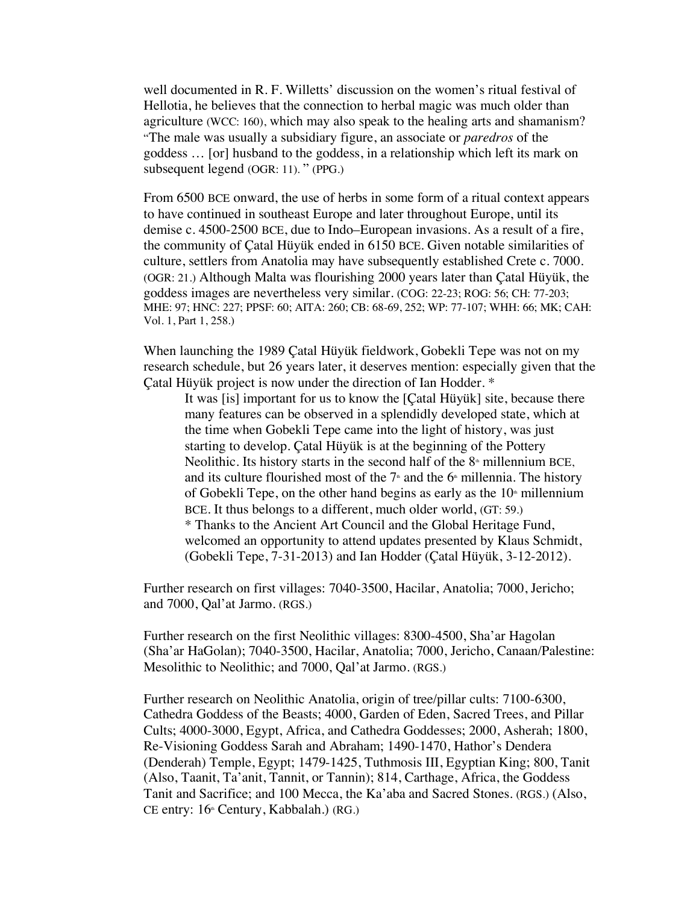well documented in R. F. Willetts' discussion on the women's ritual festival of Hellotia, he believes that the connection to herbal magic was much older than agriculture (WCC: 160), which may also speak to the healing arts and shamanism? "The male was usually a subsidiary figure, an associate or *paredros* of the goddess … [or] husband to the goddess, in a relationship which left its mark on subsequent legend (OGR: 11). " (PPG.)

From 6500 BCE onward, the use of herbs in some form of a ritual context appears to have continued in southeast Europe and later throughout Europe, until its demise c. 4500-2500 BCE, due to Indo–European invasions. As a result of a fire, the community of Çatal Hüyük ended in 6150 BCE. Given notable similarities of culture, settlers from Anatolia may have subsequently established Crete c. 7000. (OGR: 21.) Although Malta was flourishing 2000 years later than Çatal Hüyük, the goddess images are nevertheless very similar. (COG: 22-23; ROG: 56; CH: 77-203; MHE: 97; HNC: 227; PPSF: 60; AITA: 260; CB: 68-69, 252; WP: 77-107; WHH: 66; MK; CAH: Vol. 1, Part 1, 258.)

When launching the 1989 Çatal Hüyük fieldwork, Gobekli Tepe was not on my research schedule, but 26 years later, it deserves mention: especially given that the Çatal Hüyük project is now under the direction of Ian Hodder. \*

It was [is] important for us to know the [Çatal Hüyük] site, because there many features can be observed in a splendidly developed state, which at the time when Gobekli Tepe came into the light of history, was just starting to develop. Çatal Hüyük is at the beginning of the Pottery Neolithic. Its history starts in the second half of the  $8<sup>*</sup>$  millennium BCE, and its culture flourished most of the  $7<sup>th</sup>$  and the 6<sup>th</sup> millennia. The history of Gobekli Tepe, on the other hand begins as early as the  $10<sup>th</sup>$  millennium BCE. It thus belongs to a different, much older world, (GT: 59.) \* Thanks to the Ancient Art Council and the Global Heritage Fund, welcomed an opportunity to attend updates presented by Klaus Schmidt, (Gobekli Tepe, 7-31-2013) and Ian Hodder (Çatal Hüyük, 3-12-2012).

Further research on first villages: 7040-3500, Hacilar, Anatolia; 7000, Jericho; and 7000, Qal'at Jarmo. (RGS.)

Further research on the first Neolithic villages: 8300-4500, Sha'ar Hagolan (Sha'ar HaGolan); 7040-3500, Hacilar, Anatolia; 7000, Jericho, Canaan/Palestine: Mesolithic to Neolithic; and 7000, Qal'at Jarmo. (RGS.)

Further research on Neolithic Anatolia, origin of tree/pillar cults: 7100-6300, Cathedra Goddess of the Beasts; 4000, Garden of Eden, Sacred Trees, and Pillar Cults; 4000-3000, Egypt, Africa, and Cathedra Goddesses; 2000, Asherah; 1800, Re-Visioning Goddess Sarah and Abraham; 1490-1470, Hathor's Dendera (Denderah) Temple, Egypt; 1479-1425, Tuthmosis III, Egyptian King; 800, Tanit (Also, Taanit, Ta'anit, Tannit, or Tannin); 814, Carthage, Africa, the Goddess Tanit and Sacrifice; and 100 Mecca, the Ka'aba and Sacred Stones. (RGS.) (Also, CE entry: 16<sup>th</sup> Century, Kabbalah.) (RG.)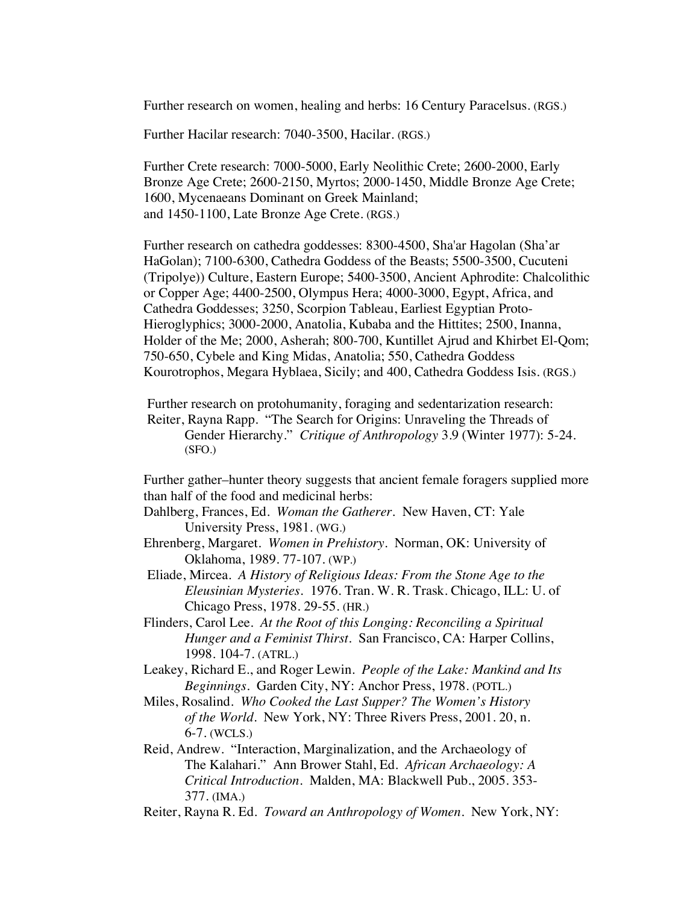Further research on women, healing and herbs: 16 Century Paracelsus. (RGS.)

Further Hacilar research: 7040-3500, Hacilar. (RGS.)

Further Crete research: 7000-5000, Early Neolithic Crete; 2600-2000, Early Bronze Age Crete; 2600-2150, Myrtos; 2000-1450, Middle Bronze Age Crete; 1600, Mycenaeans Dominant on Greek Mainland; and 1450-1100, Late Bronze Age Crete. (RGS.)

Further research on cathedra goddesses: 8300-4500, Sha'ar Hagolan (Sha'ar HaGolan); 7100-6300, Cathedra Goddess of the Beasts; 5500-3500, Cucuteni (Tripolye)) Culture, Eastern Europe; 5400-3500, Ancient Aphrodite: Chalcolithic or Copper Age; 4400-2500, Olympus Hera; 4000-3000, Egypt, Africa, and Cathedra Goddesses; 3250, Scorpion Tableau, Earliest Egyptian Proto-Hieroglyphics; 3000-2000, Anatolia, Kubaba and the Hittites; 2500, Inanna, Holder of the Me; 2000, Asherah; 800-700, Kuntillet Ajrud and Khirbet El-Qom; 750-650, Cybele and King Midas, Anatolia; 550, Cathedra Goddess Kourotrophos, Megara Hyblaea, Sicily; and 400, Cathedra Goddess Isis. (RGS.)

Further research on protohumanity, foraging and sedentarization research: Reiter, Rayna Rapp. "The Search for Origins: Unraveling the Threads of Gender Hierarchy." *Critique of Anthropology* 3.9 (Winter 1977): 5-24. (SFO.)

Further gather–hunter theory suggests that ancient female foragers supplied more than half of the food and medicinal herbs:

Dahlberg, Frances, Ed. *Woman the Gatherer.* New Haven, CT: Yale University Press, 1981. (WG.)

- Ehrenberg, Margaret. *Women in Prehistory*. Norman, OK: University of Oklahoma, 1989. 77-107. (WP.)
- Eliade, Mircea. *A History of Religious Ideas: From the Stone Age to the Eleusinian Mysteries.* 1976. Tran. W. R. Trask. Chicago, ILL: U. of Chicago Press, 1978. 29-55. (HR.)
- Flinders, Carol Lee. *At the Root of this Longing: Reconciling a Spiritual Hunger and a Feminist Thirst*. San Francisco, CA: Harper Collins, 1998. 104-7. (ATRL.)
- Leakey, Richard E., and Roger Lewin. *People of the Lake: Mankind and Its Beginnings*. Garden City, NY: Anchor Press, 1978. (POTL.)
- Miles, Rosalind. *Who Cooked the Last Supper? The Women's History of the World*. New York, NY: Three Rivers Press, 2001. 20, n. 6-7. (WCLS.)
- Reid, Andrew. "Interaction, Marginalization, and the Archaeology of The Kalahari." Ann Brower Stahl, Ed. *African Archaeology: A Critical Introduction*. Malden, MA: Blackwell Pub., 2005. 353- 377. (IMA.)
- Reiter, Rayna R. Ed. *Toward an Anthropology of Women*. New York, NY: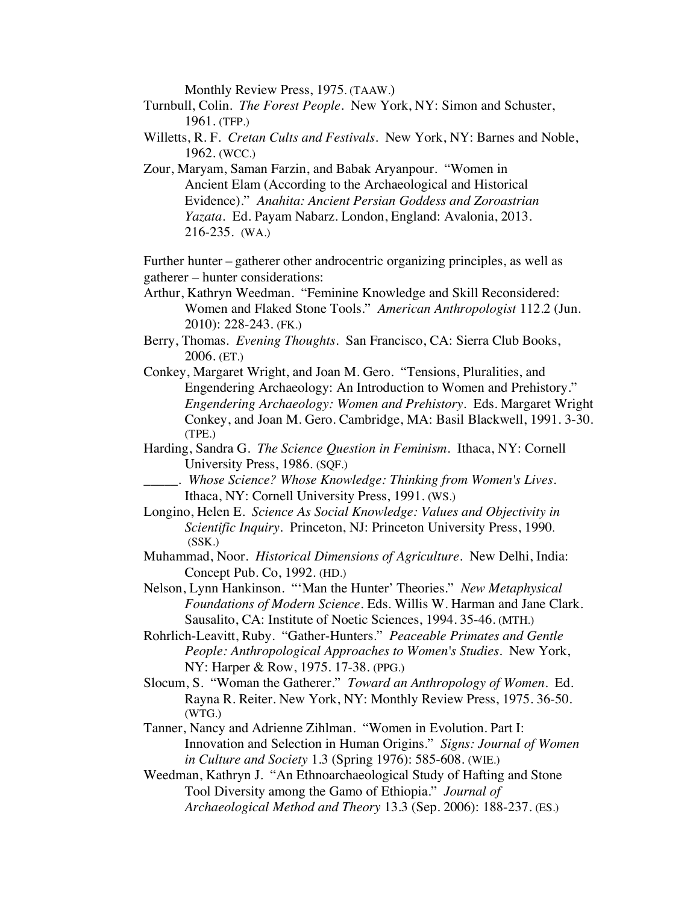Monthly Review Press, 1975. (TAAW.)

- Turnbull, Colin. *The Forest People*. New York, NY: Simon and Schuster, 1961. (TFP.)
- Willetts, R. F. *Cretan Cults and Festivals*. New York, NY: Barnes and Noble, 1962. (WCC.)
- Zour, Maryam, Saman Farzin, and Babak Aryanpour. "Women in Ancient Elam (According to the Archaeological and Historical Evidence)." *Anahita: Ancient Persian Goddess and Zoroastrian Yazata.* Ed. Payam Nabarz. London, England: Avalonia, 2013. 216-235. (WA.)

Further hunter – gatherer other androcentric organizing principles, as well as gatherer – hunter considerations:

- Arthur, Kathryn Weedman. "Feminine Knowledge and Skill Reconsidered: Women and Flaked Stone Tools." *American Anthropologist* 112.2 (Jun. 2010): 228-243. (FK.)
- Berry, Thomas. *Evening Thoughts.* San Francisco, CA: Sierra Club Books, 2006. (ET.)
- Conkey, Margaret Wright, and Joan M. Gero. "Tensions, Pluralities, and Engendering Archaeology: An Introduction to Women and Prehistory." *Engendering Archaeology: Women and Prehistory*. Eds. Margaret Wright Conkey, and Joan M. Gero. Cambridge, MA: Basil Blackwell, 1991. 3-30. (TPE.)
- Harding, Sandra G. *The Science Question in Feminism*. Ithaca, NY: Cornell University Press, 1986. (SQF.)
	- \_\_\_\_\_. *Whose Science? Whose Knowledge: Thinking from Women's Lives.* Ithaca, NY: Cornell University Press, 1991. (WS.)
- Longino, Helen E. *Science As Social Knowledge: Values and Objectivity in Scientific Inquiry.* Princeton, NJ: Princeton University Press, 1990. (SSK.)
- Muhammad, Noor. *Historical Dimensions of Agriculture*. New Delhi, India: Concept Pub. Co, 1992. (HD.)
- Nelson, Lynn Hankinson. "'Man the Hunter' Theories." *New Metaphysical Foundations of Modern Science.* Eds. Willis W. Harman and Jane Clark. Sausalito, CA: Institute of Noetic Sciences, 1994. 35-46. (MTH.)
- Rohrlich-Leavitt, Ruby. "Gather-Hunters." *Peaceable Primates and Gentle People: Anthropological Approaches to Women's Studies*. New York, NY: Harper & Row, 1975. 17-38. (PPG.)
- Slocum, S. "Woman the Gatherer." *Toward an Anthropology of Women*. Ed. Rayna R. Reiter. New York, NY: Monthly Review Press, 1975. 36-50. (WTG.)
- Tanner, Nancy and Adrienne Zihlman. "Women in Evolution. Part I: Innovation and Selection in Human Origins." *Signs: Journal of Women in Culture and Society* 1.3 (Spring 1976): 585-608. (WIE.)
- Weedman, Kathryn J. "An Ethnoarchaeological Study of Hafting and Stone Tool Diversity among the Gamo of Ethiopia." *Journal of Archaeological Method and Theory* 13.3 (Sep. 2006): 188-237. (ES.)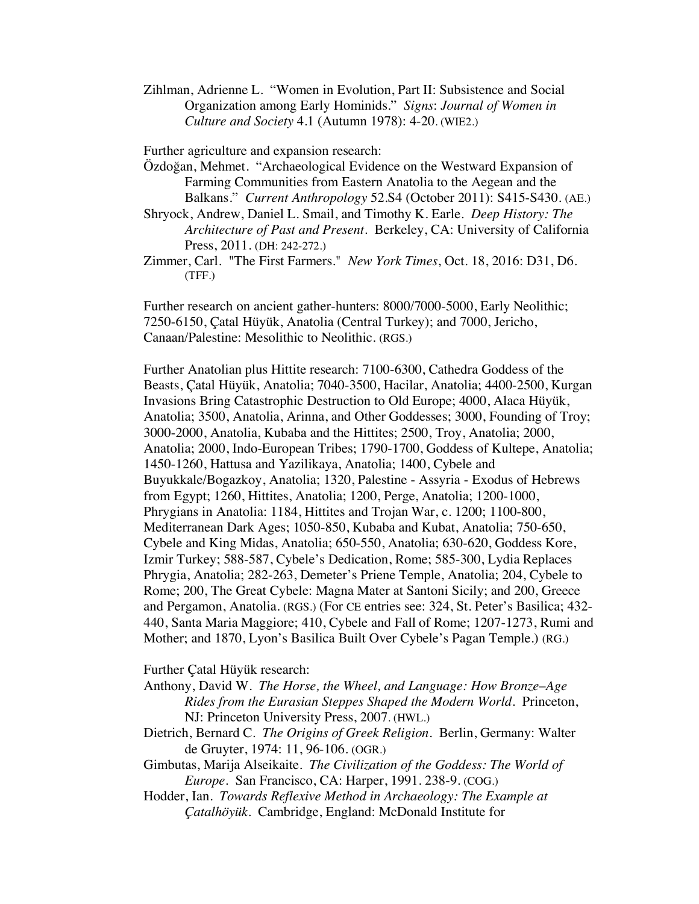Zihlman, Adrienne L. "Women in Evolution, Part II: Subsistence and Social Organization among Early Hominids." *Signs*: *Journal of Women in Culture and Society* 4.1 (Autumn 1978): 4-20. (WIE2.)

Further agriculture and expansion research:

- Özdoğan, Mehmet. "Archaeological Evidence on the Westward Expansion of Farming Communities from Eastern Anatolia to the Aegean and the Balkans." *Current Anthropology* 52.S4 (October 2011): S415-S430. (AE.)
- Shryock, Andrew, Daniel L. Smail, and Timothy K. Earle. *Deep History: The Architecture of Past and Present*. Berkeley, CA: University of California Press, 2011. (DH: 242-272.)
- Zimmer, Carl. "The First Farmers." *New York Times*, Oct. 18, 2016: D31, D6. (TFF.)

Further research on ancient gather-hunters: 8000/7000-5000, Early Neolithic; 7250-6150, Çatal Hüyük, Anatolia (Central Turkey); and 7000, Jericho, Canaan/Palestine: Mesolithic to Neolithic. (RGS.)

Further Anatolian plus Hittite research: 7100-6300, Cathedra Goddess of the Beasts, Çatal Hüyük, Anatolia; 7040-3500, Hacilar, Anatolia; 4400-2500, Kurgan Invasions Bring Catastrophic Destruction to Old Europe; 4000, Alaca Hüyük, Anatolia; 3500, Anatolia, Arinna, and Other Goddesses; 3000, Founding of Troy; 3000-2000, Anatolia, Kubaba and the Hittites; 2500, Troy, Anatolia; 2000, Anatolia; 2000, Indo-European Tribes; 1790-1700, Goddess of Kultepe, Anatolia; 1450-1260, Hattusa and Yazilikaya, Anatolia; 1400, Cybele and Buyukkale/Bogazkoy, Anatolia; 1320, Palestine - Assyria - Exodus of Hebrews from Egypt; 1260, Hittites, Anatolia; 1200, Perge, Anatolia; 1200-1000, Phrygians in Anatolia: 1184, Hittites and Trojan War, c. 1200; 1100-800, Mediterranean Dark Ages; 1050-850, Kubaba and Kubat, Anatolia; 750-650, Cybele and King Midas, Anatolia; 650-550, Anatolia; 630-620, Goddess Kore, Izmir Turkey; 588-587, Cybele's Dedication, Rome; 585-300, Lydia Replaces Phrygia, Anatolia; 282-263, Demeter's Priene Temple, Anatolia; 204, Cybele to Rome; 200, The Great Cybele: Magna Mater at Santoni Sicily; and 200, Greece and Pergamon, Anatolia. (RGS.) (For CE entries see: 324, St. Peter's Basilica; 432- 440, Santa Maria Maggiore; 410, Cybele and Fall of Rome; 1207-1273, Rumi and Mother; and 1870, Lyon's Basilica Built Over Cybele's Pagan Temple.) (RG.)

Further Çatal Hüyük research:

- Anthony, David W. *The Horse, the Wheel, and Language: How Bronze*–*Age Rides from the Eurasian Steppes Shaped the Modern World*. Princeton, NJ: Princeton University Press, 2007. (HWL.)
- Dietrich, Bernard C. *The Origins of Greek Religion.* Berlin, Germany: Walter de Gruyter, 1974: 11, 96-106. (OGR.)
- Gimbutas, Marija Alseikaite. *The Civilization of the Goddess: The World of Europe*. San Francisco, CA: Harper, 1991. 238-9. (COG.)
- Hodder, Ian. *Towards Reflexive Method in Archaeology: The Example at Çatalhöyük*. Cambridge, England: McDonald Institute for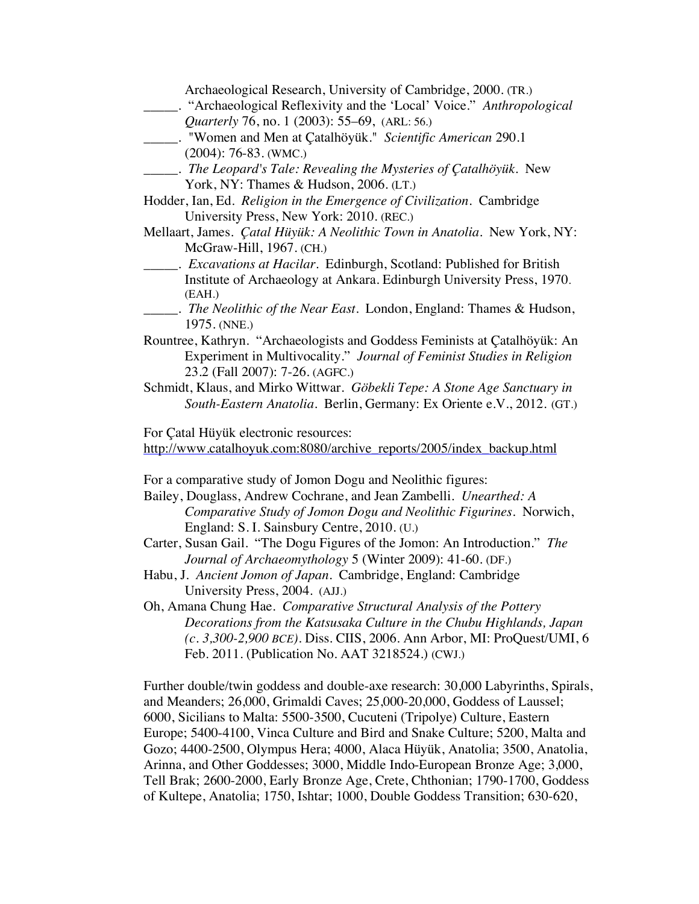|              | Archaeological Research, University of Cambridge, 2000. (TR.)                     |
|--------------|-----------------------------------------------------------------------------------|
|              |                                                                                   |
|              | Quarterly 76, no. 1 (2003): 55–69, (ARL: 56.)                                     |
|              | ____. "Women and Men at Catalhöyük." Scientific American 290.1                    |
|              | $(2004): 76-83.$ (WMC.)                                                           |
|              | _____. The Leopard's Tale: Revealing the Mysteries of Çatalhöyük. New             |
|              | York, NY: Thames & Hudson, 2006. (LT.)                                            |
|              | Hodder, Ian, Ed. Religion in the Emergence of Civilization. Cambridge             |
|              | University Press, New York: 2010. (REC.)                                          |
|              | Mellaart, James. Çatal Hüyük: A Neolithic Town in Anatolia. New York, NY:         |
|              | McGraw-Hill, 1967. (CH.)                                                          |
|              | _____. <i>Excavations at Hacilar</i> . Edinburgh, Scotland: Published for British |
|              | Institute of Archaeology at Ankara. Edinburgh University Press, 1970.             |
| (EAH.)       |                                                                                   |
|              | The Neolithic of the Near East. London, England: Thames & Hudson,                 |
| 1975. (NNE.) |                                                                                   |
|              | Rountree, Kathryn. "Archaeologists and Goddess Feminists at Çatalhöyük: An        |
|              | Experiment in Multivocality." Journal of Feminist Studies in Religion             |
|              | 23.2 (Fall 2007): 7-26. (AGFC.)                                                   |
|              | Schmidt, Klaus, and Mirko Wittwar. Göbekli Tepe: A Stone Age Sanctuary in         |
|              | South-Eastern Anatolia. Berlin, Germany: Ex Oriente e.V., 2012. (GT.)             |
|              |                                                                                   |
|              | For Çatal Hüyük electronic resources:                                             |
|              | http://www.catalhoyuk.com:8080/archive_reports/2005/index_backup.html             |
|              |                                                                                   |
|              | For a comparative study of Jomon Dogu and Neolithic figures:                      |
|              | Bailey, Douglass, Andrew Cochrane, and Jean Zambelli. Unearthed: A                |
|              | Comparative Study of Jomon Dogu and Neolithic Figurines. Norwich,                 |
|              | England: S. I. Sainsbury Centre, 2010. (U.)                                       |
|              | Carter, Susan Gail. "The Dogu Figures of the Jomon: An Introduction." The         |
|              | Journal of Archaeomythology 5 (Winter 2009): 41-60. (DF.)                         |
|              | Habu, J. Ancient Jomon of Japan. Cambridge, England: Cambridge                    |
|              | University Press, 2004. (AJJ.)                                                    |
|              | Oh, Amana Chung Hae. Comparative Structural Analysis of the Pottery               |
|              | Decorations from the Katsusaka Culture in the Chubu Highlands, Japan              |
|              | $(c. 3,300-2,900 \text{ BCE})$ . Diss. CIIS, 2006. Ann Arbor, MI: ProQuest/UMI, 6 |
|              | Feb. 2011. (Publication No. AAT 3218524.) (CWJ.)                                  |
|              |                                                                                   |
|              | Further double/twin goddess and double-axe research: 30,000 Labyrinths, Spirals,  |
|              | and Meanders; 26,000, Grimaldi Caves; 25,000-20,000, Goddess of Laussel;          |
|              | 6000, Sicilians to Malta: 5500-3500, Cucuteni (Tripolye) Culture, Eastern         |
|              | Europe; 5400-4100, Vinca Culture and Bird and Snake Culture; 5200, Malta and      |
|              | Gozo; 4400-2500, Olympus Hera; 4000, Alaca Hüyük, Anatolia; 3500, Anatolia,       |
|              | Arinna, and Other Goddesses; 3000, Middle Indo-European Bronze Age; 3,000,        |
|              | Tell Brak; 2600-2000, Early Bronze Age, Crete, Chthonian; 1790-1700, Goddess      |
|              | of Kultepe, Anatolia; 1750, Ishtar; 1000, Double Goddess Transition; 630-620,     |
|              |                                                                                   |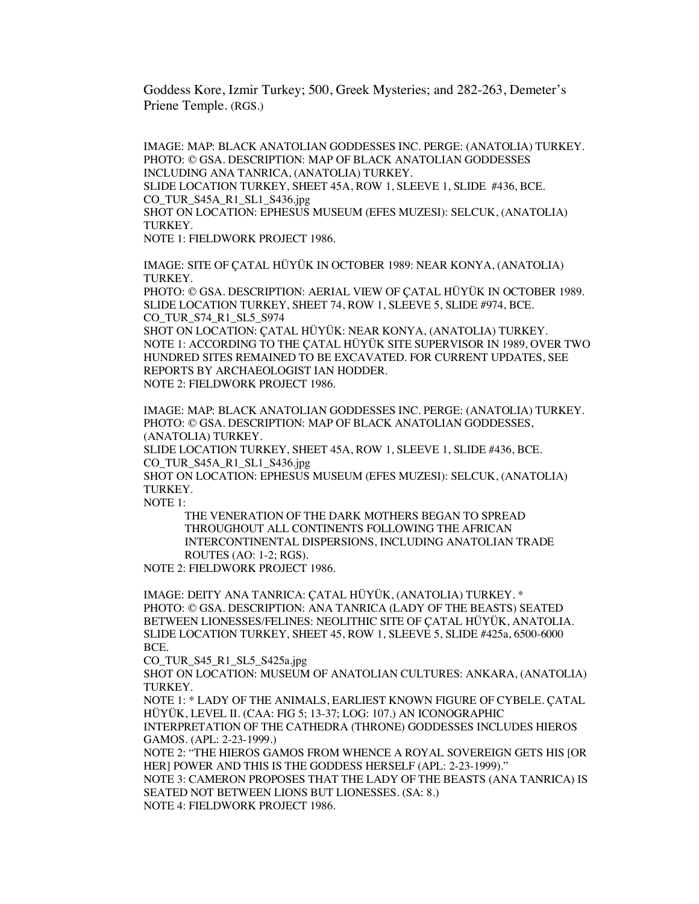Goddess Kore, Izmir Turkey; 500, Greek Mysteries; and 282-263, Demeter's Priene Temple. (RGS.)

IMAGE: MAP: BLACK ANATOLIAN GODDESSES INC. PERGE: (ANATOLIA) TURKEY. PHOTO: © GSA. DESCRIPTION: MAP OF BLACK ANATOLIAN GODDESSES INCLUDING ANA TANRICA, (ANATOLIA) TURKEY. SLIDE LOCATION TURKEY, SHEET 45A, ROW 1, SLEEVE 1, SLIDE #436, BCE. CO\_TUR\_S45A\_R1\_SL1\_S436.jpg SHOT ON LOCATION: EPHESUS MUSEUM (EFES MUZESI): SELCUK, (ANATOLIA) TURKEY. NOTE 1: FIELDWORK PROJECT 1986.

IMAGE: SITE OF ÇATAL HÜYÜK IN OCTOBER 1989: NEAR KONYA, (ANATOLIA) TURKEY.

PHOTO: © GSA. DESCRIPTION: AERIAL VIEW OF ÇATAL HÜYÜK IN OCTOBER 1989. SLIDE LOCATION TURKEY, SHEET 74, ROW 1, SLEEVE 5, SLIDE #974, BCE. CO\_TUR\_S74\_R1\_SL5\_S974

SHOT ON LOCATION: ÇATAL HÜYÜK: NEAR KONYA, (ANATOLIA) TURKEY. NOTE 1: ACCORDING TO THE ÇATAL HÜYÜK SITE SUPERVISOR IN 1989, OVER TWO HUNDRED SITES REMAINED TO BE EXCAVATED. FOR CURRENT UPDATES, SEE REPORTS BY ARCHAEOLOGIST IAN HODDER. NOTE 2: FIELDWORK PROJECT 1986.

IMAGE: MAP: BLACK ANATOLIAN GODDESSES INC. PERGE: (ANATOLIA) TURKEY. PHOTO: © GSA. DESCRIPTION: MAP OF BLACK ANATOLIAN GODDESSES, (ANATOLIA) TURKEY.

SLIDE LOCATION TURKEY, SHEET 45A, ROW 1, SLEEVE 1, SLIDE #436, BCE. CO\_TUR\_S45A\_R1\_SL1\_S436.jpg

SHOT ON LOCATION: EPHESUS MUSEUM (EFES MUZESI): SELCUK, (ANATOLIA) TURKEY.

NOTE 1:

THE VENERATION OF THE DARK MOTHERS BEGAN TO SPREAD THROUGHOUT ALL CONTINENTS FOLLOWING THE AFRICAN INTERCONTINENTAL DISPERSIONS, INCLUDING ANATOLIAN TRADE ROUTES (AO: 1-2; RGS).

NOTE 2: FIELDWORK PROJECT 1986.

IMAGE: DEITY ANA TANRICA: ÇATAL HÜYÜK, (ANATOLIA) TURKEY. \* PHOTO: © GSA. DESCRIPTION: ANA TANRICA (LADY OF THE BEASTS) SEATED BETWEEN LIONESSES/FELINES: NEOLITHIC SITE OF ÇATAL HÜYÜK, ANATOLIA. SLIDE LOCATION TURKEY, SHEET 45, ROW 1, SLEEVE 5, SLIDE #425a, 6500-6000 BCE.

CO\_TUR\_S45\_R1\_SL5\_S425a.jpg

SHOT ON LOCATION: MUSEUM OF ANATOLIAN CULTURES: ANKARA, (ANATOLIA) TURKEY.

NOTE 1: \* LADY OF THE ANIMALS, EARLIEST KNOWN FIGURE OF CYBELE. ÇATAL HÜYÜK, LEVEL II. (CAA: FIG 5; 13-37; LOG: 107.) AN ICONOGRAPHIC INTERPRETATION OF THE CATHEDRA (THRONE) GODDESSES INCLUDES HIEROS GAMOS. (APL: 2-23-1999.)

NOTE 2: "THE HIEROS GAMOS FROM WHENCE A ROYAL SOVEREIGN GETS HIS [OR HER] POWER AND THIS IS THE GODDESS HERSELF (APL: 2-23-1999)."

NOTE 3: CAMERON PROPOSES THAT THE LADY OF THE BEASTS (ANA TANRICA) IS SEATED NOT BETWEEN LIONS BUT LIONESSES. (SA: 8.)

NOTE 4: FIELDWORK PROJECT 1986.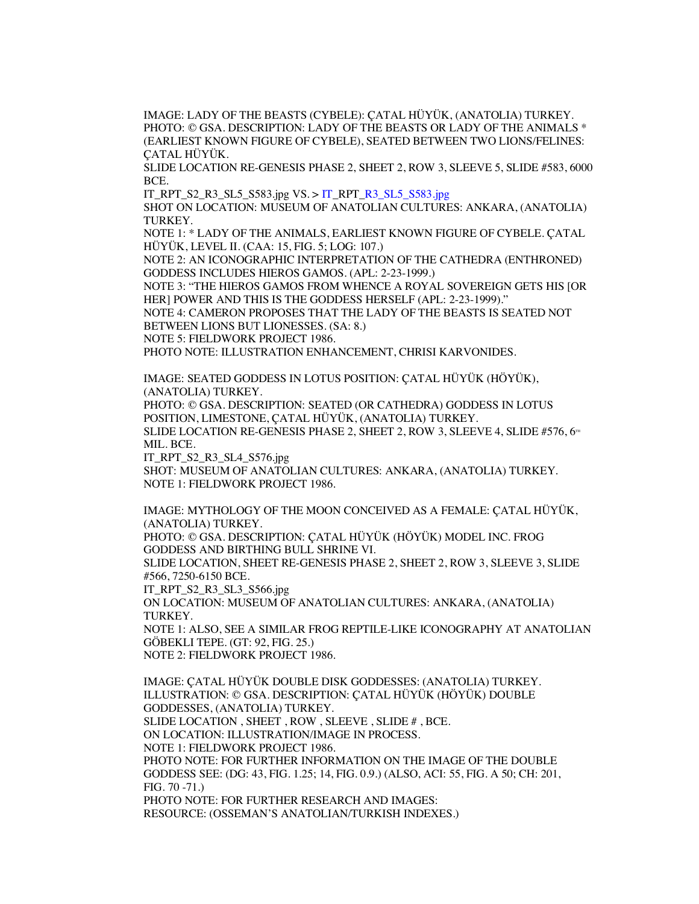IMAGE: LADY OF THE BEASTS (CYBELE): ÇATAL HÜYÜK, (ANATOLIA) TURKEY. PHOTO: © GSA. DESCRIPTION: LADY OF THE BEASTS OR LADY OF THE ANIMALS \* (EARLIEST KNOWN FIGURE OF CYBELE), SEATED BETWEEN TWO LIONS/FELINES: ÇATAL HÜYÜK.

SLIDE LOCATION RE-GENESIS PHASE 2, SHEET 2, ROW 3, SLEEVE 5, SLIDE #583, 6000 BCE.

IT\_RPT\_S2\_R3\_SL5\_S583.jpg VS. > IT\_RPT\_R3\_SL5\_S583.jpg

SHOT ON LOCATION: MUSEUM OF ANATOLIAN CULTURES: ANKARA, (ANATOLIA) TURKEY.

NOTE 1: \* LADY OF THE ANIMALS, EARLIEST KNOWN FIGURE OF CYBELE. ÇATAL HÜYÜK, LEVEL II. (CAA: 15, FIG. 5; LOG: 107.)

NOTE 2: AN ICONOGRAPHIC INTERPRETATION OF THE CATHEDRA (ENTHRONED) GODDESS INCLUDES HIEROS GAMOS. (APL: 2-23-1999.)

NOTE 3: "THE HIEROS GAMOS FROM WHENCE A ROYAL SOVEREIGN GETS HIS [OR HER] POWER AND THIS IS THE GODDESS HERSELF (APL: 2-23-1999)."

NOTE 4: CAMERON PROPOSES THAT THE LADY OF THE BEASTS IS SEATED NOT BETWEEN LIONS BUT LIONESSES. (SA: 8.)

NOTE 5: FIELDWORK PROJECT 1986.

PHOTO NOTE: ILLUSTRATION ENHANCEMENT, CHRISI KARVONIDES.

IMAGE: SEATED GODDESS IN LOTUS POSITION: ÇATAL HÜYÜK (HÖYÜK), (ANATOLIA) TURKEY.

PHOTO: © GSA. DESCRIPTION: SEATED (OR CATHEDRA) GODDESS IN LOTUS POSITION, LIMESTONE, ÇATAL HÜYÜK, (ANATOLIA) TURKEY.

SLIDE LOCATION RE-GENESIS PHASE 2, SHEET 2, ROW 3, SLEEVE 4, SLIDE #576,  $6<sup>m</sup>$ MIL. BCE.

IT\_RPT\_S2\_R3\_SL4\_S576.jpg

SHOT: MUSEUM OF ANATOLIAN CULTURES: ANKARA, (ANATOLIA) TURKEY. NOTE 1: FIELDWORK PROJECT 1986.

IMAGE: MYTHOLOGY OF THE MOON CONCEIVED AS A FEMALE: ÇATAL HÜYÜK, (ANATOLIA) TURKEY.

PHOTO: © GSA. DESCRIPTION: ÇATAL HÜYÜK (HÖYÜK) MODEL INC. FROG GODDESS AND BIRTHING BULL SHRINE VI.

SLIDE LOCATION, SHEET RE-GENESIS PHASE 2, SHEET 2, ROW 3, SLEEVE 3, SLIDE #566, 7250-6150 BCE.

IT\_RPT\_S2\_R3\_SL3\_S566.jpg

ON LOCATION: MUSEUM OF ANATOLIAN CULTURES: ANKARA, (ANATOLIA) TURKEY.

NOTE 1: ALSO, SEE A SIMILAR FROG REPTILE-LIKE ICONOGRAPHY AT ANATOLIAN GÖBEKLI TEPE. (GT: 92, FIG. 25.)

NOTE 2: FIELDWORK PROJECT 1986.

IMAGE: ÇATAL HÜYÜK DOUBLE DISK GODDESSES: (ANATOLIA) TURKEY. ILLUSTRATION: © GSA. DESCRIPTION: ÇATAL HÜYÜK (HÖYÜK) DOUBLE GODDESSES, (ANATOLIA) TURKEY. SLIDE LOCATION , SHEET , ROW , SLEEVE , SLIDE # , BCE. ON LOCATION: ILLUSTRATION/IMAGE IN PROCESS. NOTE 1: FIELDWORK PROJECT 1986. PHOTO NOTE: FOR FURTHER INFORMATION ON THE IMAGE OF THE DOUBLE GODDESS SEE: (DG: 43, FIG. 1.25; 14, FIG. 0.9.) (ALSO, ACI: 55, FIG. A 50; CH: 201, FIG. 70 -71.) PHOTO NOTE: FOR FURTHER RESEARCH AND IMAGES: RESOURCE: (OSSEMAN'S ANATOLIAN/TURKISH INDEXES.)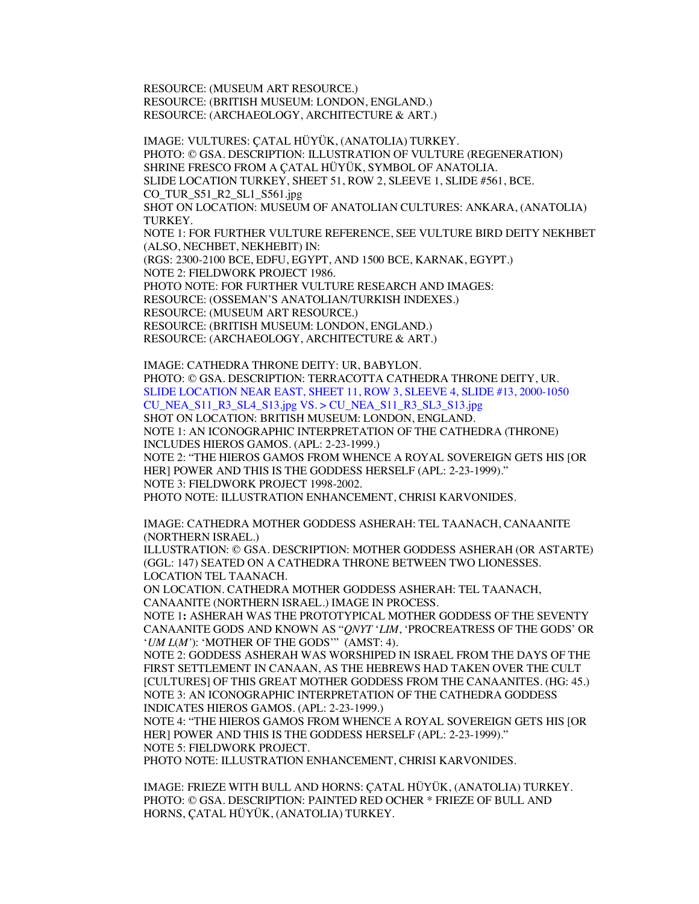RESOURCE: (MUSEUM ART RESOURCE.) RESOURCE: (BRITISH MUSEUM: LONDON, ENGLAND.) RESOURCE: (ARCHAEOLOGY, ARCHITECTURE & ART.)

IMAGE: VULTURES: ÇATAL HÜYÜK, (ANATOLIA) TURKEY. PHOTO: © GSA. DESCRIPTION: ILLUSTRATION OF VULTURE (REGENERATION) SHRINE FRESCO FROM A ÇATAL HÜYÜK, SYMBOL OF ANATOLIA. SLIDE LOCATION TURKEY, SHEET 51, ROW 2, SLEEVE 1, SLIDE #561, BCE. CO\_TUR\_S51\_R2\_SL1\_S561.jpg SHOT ON LOCATION: MUSEUM OF ANATOLIAN CULTURES: ANKARA, (ANATOLIA) TURKEY. NOTE 1: FOR FURTHER VULTURE REFERENCE, SEE VULTURE BIRD DEITY NEKHBET (ALSO, NECHBET, NEKHEBIT) IN: (RGS: 2300-2100 BCE, EDFU, EGYPT, AND 1500 BCE, KARNAK, EGYPT.) NOTE 2: FIELDWORK PROJECT 1986. PHOTO NOTE: FOR FURTHER VULTURE RESEARCH AND IMAGES: RESOURCE: (OSSEMAN'S ANATOLIAN/TURKISH INDEXES.) RESOURCE: (MUSEUM ART RESOURCE.) RESOURCE: (BRITISH MUSEUM: LONDON, ENGLAND.) RESOURCE: (ARCHAEOLOGY, ARCHITECTURE & ART.)

IMAGE: CATHEDRA THRONE DEITY: UR, BABYLON. PHOTO: © GSA. DESCRIPTION: TERRACOTTA CATHEDRA THRONE DEITY, UR. SLIDE LOCATION NEAR EAST, SHEET 11, ROW 3, SLEEVE 4, SLIDE #13, 2000-1050 CU\_NEA\_S11\_R3\_SL4\_S13.jpg VS. > CU\_NEA\_S11\_R3\_SL3\_S13.jpg SHOT ON LOCATION: BRITISH MUSEUM: LONDON, ENGLAND. NOTE 1: AN ICONOGRAPHIC INTERPRETATION OF THE CATHEDRA (THRONE) INCLUDES HIEROS GAMOS. (APL: 2-23-1999.) NOTE 2: "THE HIEROS GAMOS FROM WHENCE A ROYAL SOVEREIGN GETS HIS [OR HER] POWER AND THIS IS THE GODDESS HERSELF (APL: 2-23-1999)." NOTE 3: FIELDWORK PROJECT 1998-2002. PHOTO NOTE: ILLUSTRATION ENHANCEMENT, CHRISI KARVONIDES.

IMAGE: CATHEDRA MOTHER GODDESS ASHERAH: TEL TAANACH, CANAANITE (NORTHERN ISRAEL.)

ILLUSTRATION: © GSA. DESCRIPTION: MOTHER GODDESS ASHERAH (OR ASTARTE) (GGL: 147) SEATED ON A CATHEDRA THRONE BETWEEN TWO LIONESSES. LOCATION TEL TAANACH.

ON LOCATION. CATHEDRA MOTHER GODDESS ASHERAH: TEL TAANACH, CANAANITE (NORTHERN ISRAEL.) IMAGE IN PROCESS.

NOTE 1**:** ASHERAH WAS THE PROTOTYPICAL MOTHER GODDESS OF THE SEVENTY CANAANITE GODS AND KNOWN AS "*QNYT* '*LIM*, 'PROCREATRESS OF THE GODS' OR '*UM L*(*M'*): 'MOTHER OF THE GODS'" (AMST: 4).

NOTE 2: GODDESS ASHERAH WAS WORSHIPED IN ISRAEL FROM THE DAYS OF THE FIRST SETTLEMENT IN CANAAN, AS THE HEBREWS HAD TAKEN OVER THE CULT [CULTURES] OF THIS GREAT MOTHER GODDESS FROM THE CANAANITES. (HG: 45.) NOTE 3: AN ICONOGRAPHIC INTERPRETATION OF THE CATHEDRA GODDESS INDICATES HIEROS GAMOS. (APL: 2-23-1999.)

NOTE 4: "THE HIEROS GAMOS FROM WHENCE A ROYAL SOVEREIGN GETS HIS [OR HER] POWER AND THIS IS THE GODDESS HERSELF (APL: 2-23-1999)." NOTE 5: FIELDWORK PROJECT.

PHOTO NOTE: ILLUSTRATION ENHANCEMENT, CHRISI KARVONIDES.

IMAGE: FRIEZE WITH BULL AND HORNS: ÇATAL HÜYÜK, (ANATOLIA) TURKEY. PHOTO: © GSA. DESCRIPTION: PAINTED RED OCHER \* FRIEZE OF BULL AND HORNS, ÇATAL HÜYÜK, (ANATOLIA) TURKEY.